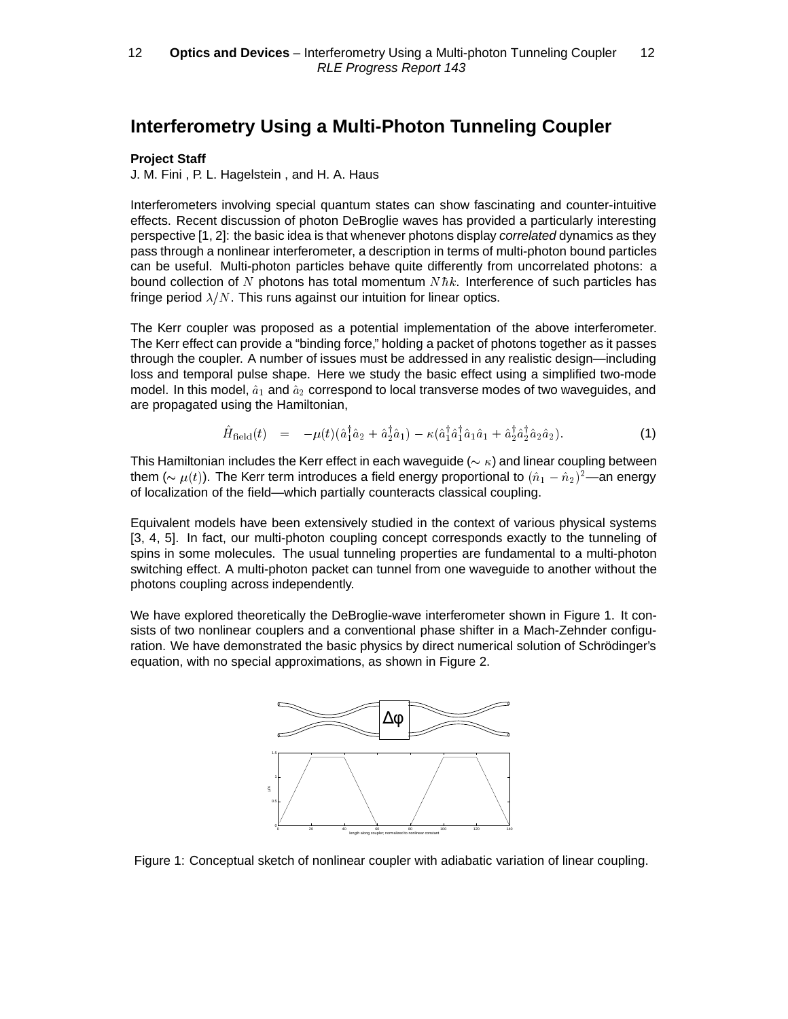## **Interferometry Using a Multi-Photon Tunneling Coupler**

## **Project Staff**

J. M. Fini , P. L. Hagelstein , and H. A. Haus

Interferometers involving special quantum states can show fascinating and counter-intuitive effects. Recent discussion of photon DeBroglie waves has provided a particularly interesting perspective [1, 2]: the basic idea is that whenever photons display correlated dynamics as they pass through a nonlinear interferometer, a description in terms of multi-photon bound particles can be useful. Multi-photon particles behave quite differently from uncorrelated photons: a bound collection of N photons has total momentum  $N\hbar k$ . Interference of such particles has fringe period  $\lambda/N$ . This runs against our intuition for linear optics.

The Kerr coupler was proposed as a potential implementation of the above interferometer. The Kerr effect can provide a "binding force," holding a packet of photons together as it passes through the coupler. A number of issues must be addressed in any realistic design—including loss and temporal pulse shape. Here we study the basic effect using a simplified two-mode model. In this model,  $\hat{a}_1$  and  $\hat{a}_2$  correspond to local transverse modes of two waveguides, and are propagated using the Hamiltonian,

$$
\hat{H}_{\text{field}}(t) = -\mu(t)(\hat{a}_1^{\dagger}\hat{a}_2 + \hat{a}_2^{\dagger}\hat{a}_1) - \kappa(\hat{a}_1^{\dagger}\hat{a}_1^{\dagger}\hat{a}_1\hat{a}_1 + \hat{a}_2^{\dagger}\hat{a}_2^{\dagger}\hat{a}_2\hat{a}_2).
$$
 (1)

This Hamiltonian includes the Kerr effect in each waveguide ( $\sim \kappa$ ) and linear coupling between them ( $\sim \mu(t)$ ). The Kerr term introduces a field energy proportional to  $(\hat n_1 - \hat n_2)^2$ —an energy of localization of the field—which partially counteracts classical coupling.

Equivalent models have been extensively studied in the context of various physical systems [3, 4, 5]. In fact, our multi-photon coupling concept corresponds exactly to the tunneling of spins in some molecules. The usual tunneling properties are fundamental to a multi-photon switching effect. A multi-photon packet can tunnel from one waveguide to another without the photons coupling across independently.

We have explored theoretically the DeBroglie-wave interferometer shown in Figure 1. It consists of two nonlinear couplers and a conventional phase shifter in a Mach-Zehnder configuration. We have demonstrated the basic physics by direct numerical solution of Schrödinger's equation, with no special approximations, as shown in Figure 2.



Figure 1: Conceptual sketch of nonlinear coupler with adiabatic variation of linear coupling.